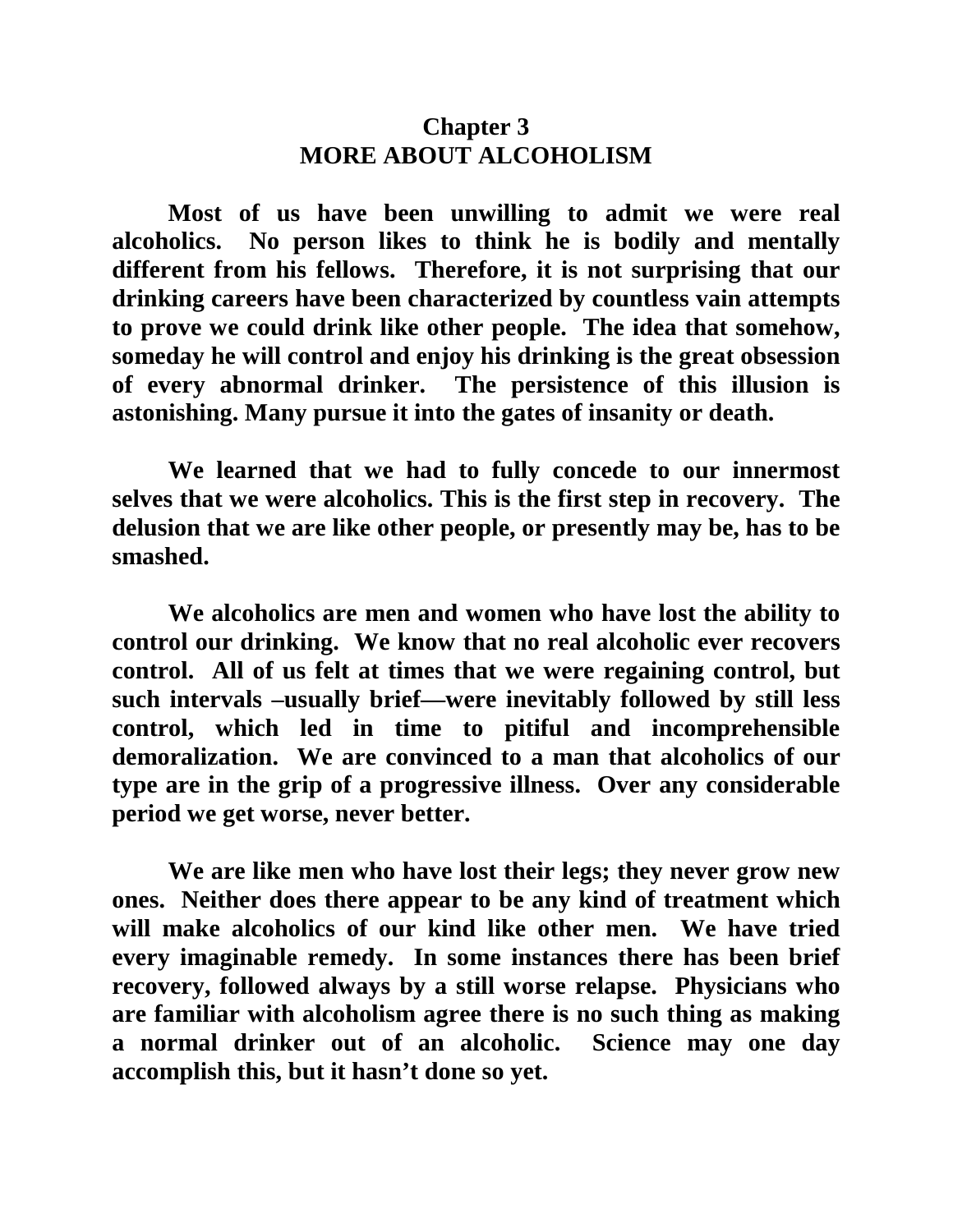## **Chapter 3 MORE ABOUT ALCOHOLISM**

**Most of us have been unwilling to admit we were real alcoholics. No person likes to think he is bodily and mentally different from his fellows. Therefore, it is not surprising that our drinking careers have been characterized by countless vain attempts to prove we could drink like other people. The idea that somehow, someday he will control and enjoy his drinking is the great obsession of every abnormal drinker. The persistence of this illusion is astonishing. Many pursue it into the gates of insanity or death.** 

**We learned that we had to fully concede to our innermost selves that we were alcoholics. This is the first step in recovery. The delusion that we are like other people, or presently may be, has to be smashed.** 

**We alcoholics are men and women who have lost the ability to control our drinking. We know that no real alcoholic ever recovers control. All of us felt at times that we were regaining control, but such intervals –usually brief—were inevitably followed by still less control, which led in time to pitiful and incomprehensible demoralization. We are convinced to a man that alcoholics of our type are in the grip of a progressive illness. Over any considerable period we get worse, never better.** 

**We are like men who have lost their legs; they never grow new ones. Neither does there appear to be any kind of treatment which will make alcoholics of our kind like other men. We have tried every imaginable remedy. In some instances there has been brief recovery, followed always by a still worse relapse. Physicians who are familiar with alcoholism agree there is no such thing as making a normal drinker out of an alcoholic. Science may one day accomplish this, but it hasn't done so yet.**